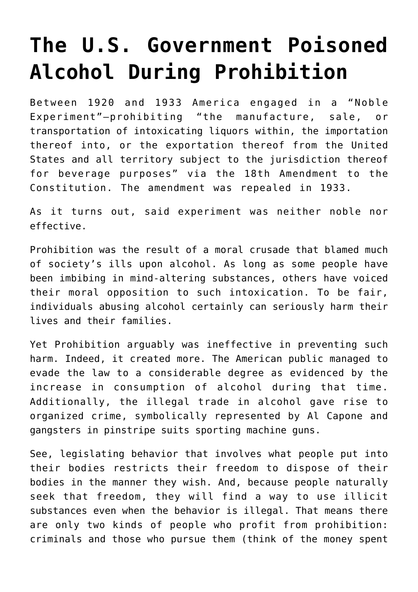## **[The U.S. Government Poisoned](https://intellectualtakeout.org/2016/06/the-u-s-government-poisoned-alcohol-during-prohibition/) [Alcohol During Prohibition](https://intellectualtakeout.org/2016/06/the-u-s-government-poisoned-alcohol-during-prohibition/)**

Between 1920 and 1933 America engaged in a "Noble Experiment"—prohibiting "the manufacture, sale, or transportation of intoxicating liquors within, the importation thereof into, or the exportation thereof from the United States and all territory subject to the jurisdiction thereof for beverage purposes" via the 18th Amendment to the Constitution. The amendment was repealed in 1933.

As it turns out, said experiment was neither noble nor effective.

Prohibition was the result of a moral crusade that blamed much of society's ills upon alcohol. As long as some people have been imbibing in mind-altering substances, others have voiced their moral opposition to such intoxication. To be fair, individuals abusing alcohol certainly can seriously harm their lives and their families.

Yet Prohibition arguably was ineffective in preventing such harm. Indeed, it created more. The American public managed to evade the law to a considerable degree as evidenced by the increase in consumption of alcohol during that time. Additionally, the illegal trade in alcohol gave rise to organized crime, symbolically represented by Al Capone and gangsters in pinstripe suits sporting machine guns.

See, legislating behavior that involves what people put into their bodies restricts their freedom to dispose of their bodies in the manner they wish. And, because people naturally seek that freedom, they will find a way to use illicit substances even when the behavior is illegal. That means there are only two kinds of people who profit from prohibition: criminals and those who pursue them (think of the money spent